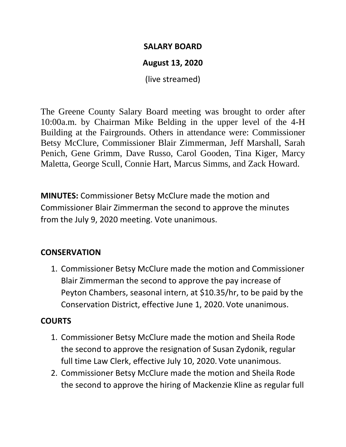#### **SALARY BOARD**

# **August 13, 2020**

(live streamed)

The Greene County Salary Board meeting was brought to order after 10:00a.m. by Chairman Mike Belding in the upper level of the 4-H Building at the Fairgrounds. Others in attendance were: Commissioner Betsy McClure, Commissioner Blair Zimmerman, Jeff Marshall, Sarah Penich, Gene Grimm, Dave Russo, Carol Gooden, Tina Kiger, Marcy Maletta, George Scull, Connie Hart, Marcus Simms, and Zack Howard.

**MINUTES:** Commissioner Betsy McClure made the motion and Commissioner Blair Zimmerman the second to approve the minutes from the July 9, 2020 meeting. Vote unanimous.

# **CONSERVATION**

1. Commissioner Betsy McClure made the motion and Commissioner Blair Zimmerman the second to approve the pay increase of Peyton Chambers, seasonal intern, at \$10.35/hr, to be paid by the Conservation District, effective June 1, 2020. Vote unanimous.

# **COURTS**

- 1. Commissioner Betsy McClure made the motion and Sheila Rode the second to approve the resignation of Susan Zydonik, regular full time Law Clerk, effective July 10, 2020. Vote unanimous.
- 2. Commissioner Betsy McClure made the motion and Sheila Rode the second to approve the hiring of Mackenzie Kline as regular full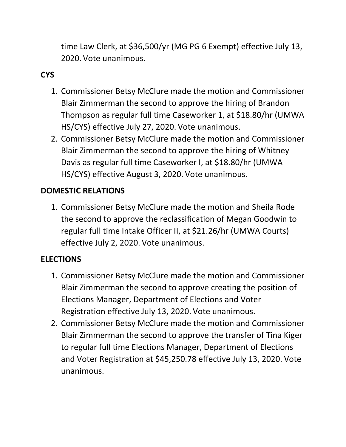time Law Clerk, at \$36,500/yr (MG PG 6 Exempt) effective July 13, 2020. Vote unanimous.

# **CYS**

- 1. Commissioner Betsy McClure made the motion and Commissioner Blair Zimmerman the second to approve the hiring of Brandon Thompson as regular full time Caseworker 1, at \$18.80/hr (UMWA HS/CYS) effective July 27, 2020. Vote unanimous.
- 2. Commissioner Betsy McClure made the motion and Commissioner Blair Zimmerman the second to approve the hiring of Whitney Davis as regular full time Caseworker I, at \$18.80/hr (UMWA HS/CYS) effective August 3, 2020. Vote unanimous.

#### **DOMESTIC RELATIONS**

1. Commissioner Betsy McClure made the motion and Sheila Rode the second to approve the reclassification of Megan Goodwin to regular full time Intake Officer II, at \$21.26/hr (UMWA Courts) effective July 2, 2020. Vote unanimous.

#### **ELECTIONS**

- 1. Commissioner Betsy McClure made the motion and Commissioner Blair Zimmerman the second to approve creating the position of Elections Manager, Department of Elections and Voter Registration effective July 13, 2020. Vote unanimous.
- 2. Commissioner Betsy McClure made the motion and Commissioner Blair Zimmerman the second to approve the transfer of Tina Kiger to regular full time Elections Manager, Department of Elections and Voter Registration at \$45,250.78 effective July 13, 2020. Vote unanimous.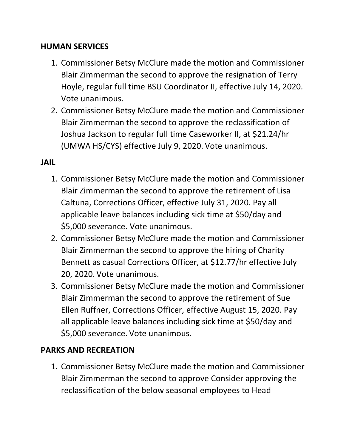#### **HUMAN SERVICES**

- 1. Commissioner Betsy McClure made the motion and Commissioner Blair Zimmerman the second to approve the resignation of Terry Hoyle, regular full time BSU Coordinator II, effective July 14, 2020. Vote unanimous.
- 2. Commissioner Betsy McClure made the motion and Commissioner Blair Zimmerman the second to approve the reclassification of Joshua Jackson to regular full time Caseworker II, at \$21.24/hr (UMWA HS/CYS) effective July 9, 2020. Vote unanimous.

#### **JAIL**

- 1. Commissioner Betsy McClure made the motion and Commissioner Blair Zimmerman the second to approve the retirement of Lisa Caltuna, Corrections Officer, effective July 31, 2020. Pay all applicable leave balances including sick time at \$50/day and \$5,000 severance. Vote unanimous.
- 2. Commissioner Betsy McClure made the motion and Commissioner Blair Zimmerman the second to approve the hiring of Charity Bennett as casual Corrections Officer, at \$12.77/hr effective July 20, 2020. Vote unanimous.
- 3. Commissioner Betsy McClure made the motion and Commissioner Blair Zimmerman the second to approve the retirement of Sue Ellen Ruffner, Corrections Officer, effective August 15, 2020. Pay all applicable leave balances including sick time at \$50/day and \$5,000 severance. Vote unanimous.

#### **PARKS AND RECREATION**

1. Commissioner Betsy McClure made the motion and Commissioner Blair Zimmerman the second to approve Consider approving the reclassification of the below seasonal employees to Head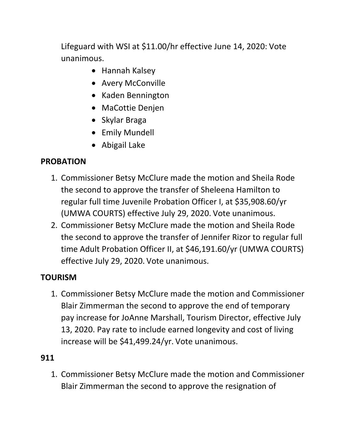Lifeguard with WSI at \$11.00/hr effective June 14, 2020: Vote unanimous.

- Hannah Kalsey
- Avery McConville
- Kaden Bennington
- MaCottie Denjen
- Skylar Braga
- Emily Mundell
- Abigail Lake

# **PROBATION**

- 1. Commissioner Betsy McClure made the motion and Sheila Rode the second to approve the transfer of Sheleena Hamilton to regular full time Juvenile Probation Officer I, at \$35,908.60/yr (UMWA COURTS) effective July 29, 2020. Vote unanimous.
- 2. Commissioner Betsy McClure made the motion and Sheila Rode the second to approve the transfer of Jennifer Rizor to regular full time Adult Probation Officer II, at \$46,191.60/yr (UMWA COURTS) effective July 29, 2020. Vote unanimous.

# **TOURISM**

1. Commissioner Betsy McClure made the motion and Commissioner Blair Zimmerman the second to approve the end of temporary pay increase for JoAnne Marshall, Tourism Director, effective July 13, 2020. Pay rate to include earned longevity and cost of living increase will be \$41,499.24/yr. Vote unanimous.

# **911**

1. Commissioner Betsy McClure made the motion and Commissioner Blair Zimmerman the second to approve the resignation of